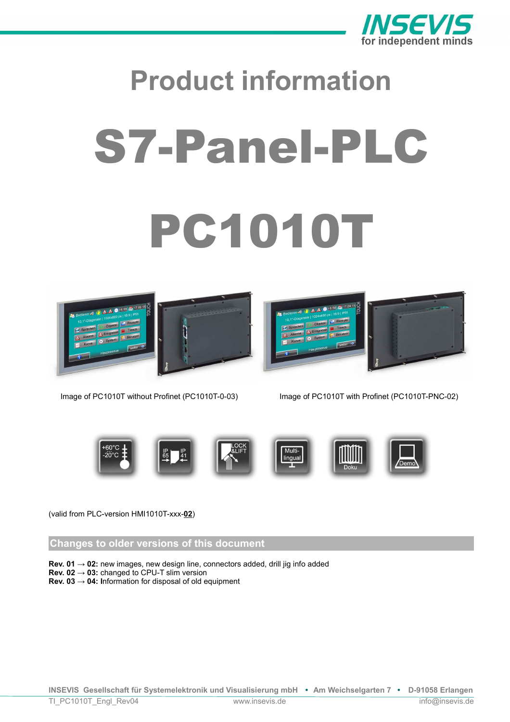

# **Product information** S7-Panel-PLC PC1010T





Image of PC1010T without Profinet (PC1010T-0-03) Image of PC1010T with Profinet (PC1010T-PNC-02)



# (valid from PLC-version HMI1010T-xxx-**02**)

# **Changes to older versions of this document**

- **Rev. 01 → 02:** new images, new design line, connectors added, drill jig info added
- **Rev. 02 → 03:** changed to CPU-T slim version
- **Rev. 03 → 04: I**nformation for disposal of old equipment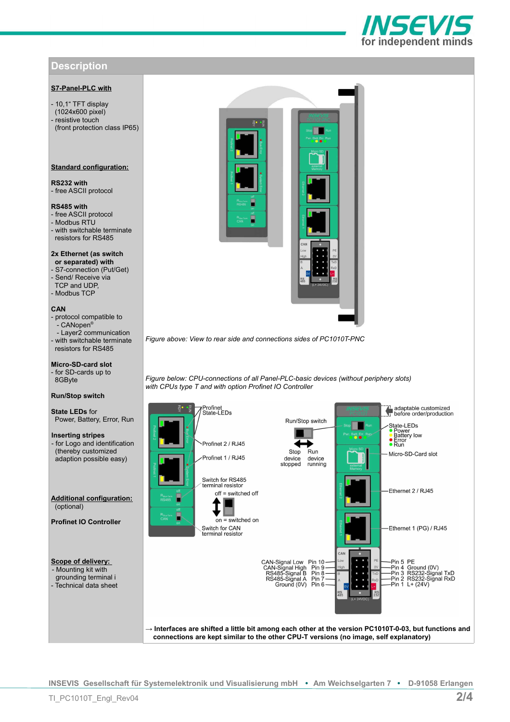# **Description**

# **S7-Panel-PLC with**

- 10,1" TFT display (1024x600 pixel) resistive touch (front protection class IP65)

## **Standard configuration:**

**RS232 with** - free ASCII protocol

#### **RS485 with**

- free ASCII protocol - Modbus RTU - with switchable terminate resistors for RS485

# **2x Ethernet (as switch or separated) with** - S7-connection (Put/Get)

- Send/ Receive via TCP and UDP, - Modbus TCP

## **CAN**

- protocol compatible to .<br>- CANopen® - Layer2 communication - with switchable terminate resistors for RS485

#### **Micro-SD-card slot** - for SD-cards up to 8GByte

#### **Run/Stop switch**

**State LEDs** for Power, Battery, Error, Run

#### **Inserting stripes**  - for Logo and identification (thereby customized adaption possible easy)

**Additional configuration:** (optional)

**Profinet IO Controller**

## **Scope of delivery:**  - Mounting kit with grounding terminal i - Technical data sheet



*Figure above: View to rear side and connections sides of PC1010T-PNC*

*Figure below: CPU-connections of all Panel-PLC-basic devices (without periphery slots) with CPUs type T and with option Profinet IO Controller*



**INSEVIS Gesellschaft für Systemelektronik und Visualisierung mbH • Am Weichselgarten 7 • D-91058 Erlangen**

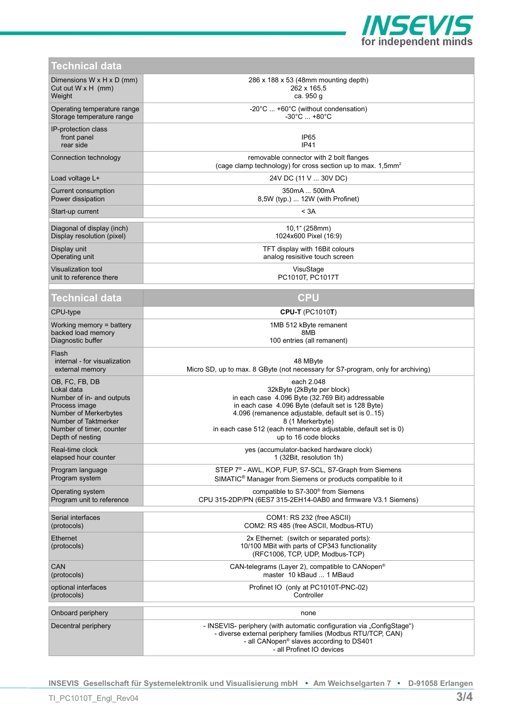

| <b>Technical data</b> |  |  |
|-----------------------|--|--|
|                       |  |  |

| $1$ GUITHUAL UALA                                        |                                                                                                                                                                                                                           |  |  |
|----------------------------------------------------------|---------------------------------------------------------------------------------------------------------------------------------------------------------------------------------------------------------------------------|--|--|
| Dimensions $W \times H \times D$ (mm)                    | 286 x 188 x 53 (48mm mounting depth)                                                                                                                                                                                      |  |  |
| Cut out $W \times H$ (mm)                                | 262 x 165,5                                                                                                                                                                                                               |  |  |
| Weight                                                   | ca. 950 g                                                                                                                                                                                                                 |  |  |
| Operating temperature range                              | -20°C  +60°C (without condensation)                                                                                                                                                                                       |  |  |
| Storage temperature range                                | $-30^{\circ}$ C $+80^{\circ}$ C                                                                                                                                                                                           |  |  |
| IP-protection class<br>front panel<br>rear side          | IP <sub>65</sub><br>IP41                                                                                                                                                                                                  |  |  |
| Connection technology                                    | removable connector with 2 bolt flanges<br>(cage clamp technology) for cross section up to max. 1,5mm <sup>2</sup>                                                                                                        |  |  |
| Load voltage L+                                          | 24V DC (11 V  30V DC)                                                                                                                                                                                                     |  |  |
| Current consumption                                      | 350mA  500mA                                                                                                                                                                                                              |  |  |
| Power dissipation                                        | 8,5W (typ.)  12W (with Profinet)                                                                                                                                                                                          |  |  |
| Start-up current                                         | < 3A                                                                                                                                                                                                                      |  |  |
| Diagonal of display (inch)                               | 10,1" (258mm)                                                                                                                                                                                                             |  |  |
| Display resolution (pixel)                               | 1024x600 Pixel (16:9)                                                                                                                                                                                                     |  |  |
| Display unit                                             | TFT display with 16Bit colours                                                                                                                                                                                            |  |  |
| Operating unit                                           | analog resisitive touch screen                                                                                                                                                                                            |  |  |
| <b>Visualization tool</b>                                | VisuStage                                                                                                                                                                                                                 |  |  |
| unit to reference there                                  | PC1010T, PC1017T                                                                                                                                                                                                          |  |  |
| Technical data                                           | <b>CPU</b>                                                                                                                                                                                                                |  |  |
| CPU-type                                                 | <b>CPU-T (PC1010T)</b>                                                                                                                                                                                                    |  |  |
| Working memory = battery                                 | 1MB 512 kByte remanent                                                                                                                                                                                                    |  |  |
| backed load memory                                       | 8MB                                                                                                                                                                                                                       |  |  |
| Diagnostic buffer                                        | 100 entries (all remanent)                                                                                                                                                                                                |  |  |
| Flash<br>internal - for visualization<br>external memory | 48 MByte<br>Micro SD, up to max. 8 GByte (not necessary for S7-program, only for archiving)                                                                                                                               |  |  |
| OB, FC, FB, DB                                           | each 2.048                                                                                                                                                                                                                |  |  |
| Lokal data                                               | 32kByte (2kByte per block)                                                                                                                                                                                                |  |  |
| Number of in- and outputs                                | in each case 4.096 Byte (32.769 Bit) addressable                                                                                                                                                                          |  |  |
| Process image                                            | in each case 4.096 Byte (default set is 128 Byte)                                                                                                                                                                         |  |  |
| Number of Merkerbytes                                    | 4.096 (remanence adjustable, default set is 015)                                                                                                                                                                          |  |  |
| Number of Taktmerker                                     | 8 (1 Merkerbyte)                                                                                                                                                                                                          |  |  |
| Number of timer, counter                                 | in each case 512 (each remanence adjustable, default set is 0)                                                                                                                                                            |  |  |
| Depth of nesting                                         | up to 16 code blocks                                                                                                                                                                                                      |  |  |
| Real-time clock                                          | yes (accumulator-backed hardware clock)                                                                                                                                                                                   |  |  |
| elapsed hour counter                                     | 1 (32Bit, resolution 1h)                                                                                                                                                                                                  |  |  |
| Program language                                         | STEP 7 <sup>®</sup> - AWL, KOP, FUP, S7-SCL, S7-Graph from Siemens                                                                                                                                                        |  |  |
| Program system                                           | SIMATIC <sup>®</sup> Manager from Siemens or products compatible to it                                                                                                                                                    |  |  |
| Operating system                                         | compatible to S7-300 <sup>®</sup> from Siemens                                                                                                                                                                            |  |  |
| Program unit to reference                                | CPU 315-2DP/PN (6ES7 315-2EH14-0AB0 and firmware V3.1 Siemens)                                                                                                                                                            |  |  |
| Serial interfaces                                        | COM1: RS 232 (free ASCII)                                                                                                                                                                                                 |  |  |
| (protocols)                                              | COM2: RS 485 (free ASCII, Modbus-RTU)                                                                                                                                                                                     |  |  |
| <b>Ethernet</b><br>(protocols)                           | 2x Ethernet: (switch or separated ports):<br>10/100 MBit with parts of CP343 functionality<br>(RFC1006, TCP, UDP, Modbus-TCP)                                                                                             |  |  |
| CAN                                                      | CAN-telegrams (Layer 2), compatible to CANopen <sup>®</sup>                                                                                                                                                               |  |  |
| (protocols)                                              | master 10 kBaud  1 MBaud                                                                                                                                                                                                  |  |  |
| optional interfaces                                      | Profinet IO (only at PC1010T-PNC-02)                                                                                                                                                                                      |  |  |
| (protocols)                                              | Controller                                                                                                                                                                                                                |  |  |
| Onboard periphery                                        | none                                                                                                                                                                                                                      |  |  |
| Decentral periphery                                      | - INSEVIS- periphery (with automatic configuration via "ConfigStage")<br>- diverse external periphery families (Modbus RTU/TCP, CAN)<br>- all CANopen <sup>®</sup> slaves according to DS401<br>- all Profinet IO devices |  |  |
|                                                          |                                                                                                                                                                                                                           |  |  |